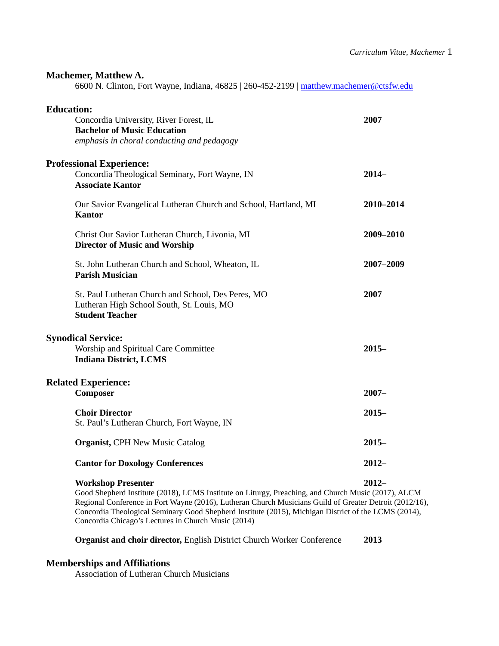### **Machemer, Matthew A.**

6600 N. Clinton, Fort Wayne, Indiana, 46825 | 260-452-2199 | [matthew.machemer@ctsfw.edu](mailto:matthew.machemer@ctsfw.edu)

| <b>Education:</b>                                                                                                              |           |
|--------------------------------------------------------------------------------------------------------------------------------|-----------|
| Concordia University, River Forest, IL<br><b>Bachelor of Music Education</b><br>emphasis in choral conducting and pedagogy     | 2007      |
| <b>Professional Experience:</b><br>Concordia Theological Seminary, Fort Wayne, IN<br><b>Associate Kantor</b>                   | $2014-$   |
| Our Savior Evangelical Lutheran Church and School, Hartland, MI<br><b>Kantor</b>                                               | 2010-2014 |
| Christ Our Savior Lutheran Church, Livonia, MI<br><b>Director of Music and Worship</b>                                         | 2009-2010 |
| St. John Lutheran Church and School, Wheaton, IL<br><b>Parish Musician</b>                                                     | 2007-2009 |
| St. Paul Lutheran Church and School, Des Peres, MO<br>Lutheran High School South, St. Louis, MO<br><b>Student Teacher</b>      | 2007      |
| <b>Synodical Service:</b><br>Worship and Spiritual Care Committee<br><b>Indiana District, LCMS</b>                             | $2015 -$  |
| <b>Related Experience:</b><br>Composer                                                                                         | $2007 -$  |
| <b>Choir Director</b><br>St. Paul's Lutheran Church, Fort Wayne, IN                                                            | $2015 -$  |
| <b>Organist, CPH New Music Catalog</b>                                                                                         | $2015 -$  |
| <b>Cantor for Doxology Conferences</b>                                                                                         | $2012 -$  |
| <b>Workshop Presenter</b><br>Good Shepherd Institute (2018), LCMS Institute on Liturgy, Preaching, and Church Music (2017), Al | $2012 -$  |

Good Shepherd Institute (2018), LCMS Institute on Liturgy, Preaching, and Church Music (2017), ALCM Regional Conference in Fort Wayne (2016), Lutheran Church Musicians Guild of Greater Detroit (2012/16), Concordia Theological Seminary Good Shepherd Institute (2015), Michigan District of the LCMS (2014), Concordia Chicago's Lectures in Church Music (2014)

# **Organist and choir director,** English District Church Worker Conference **2013**

## **Memberships and Affiliations**

Association of Lutheran Church Musicians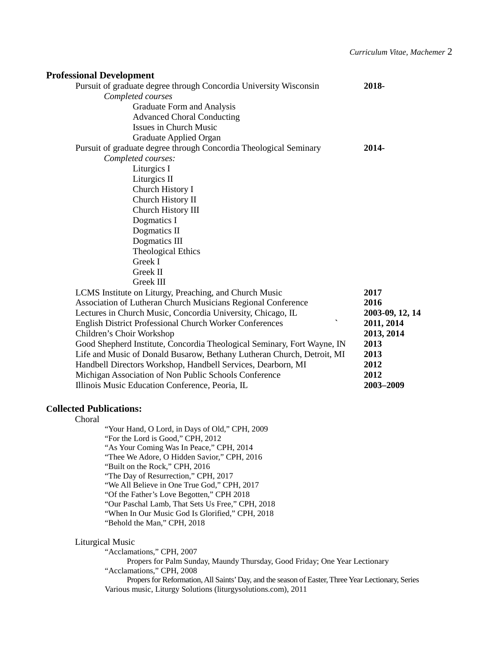| <b>Professional Development</b>                                                         |                 |
|-----------------------------------------------------------------------------------------|-----------------|
| Pursuit of graduate degree through Concordia University Wisconsin                       | 2018-           |
| Completed courses                                                                       |                 |
| Graduate Form and Analysis                                                              |                 |
| <b>Advanced Choral Conducting</b>                                                       |                 |
| Issues in Church Music                                                                  |                 |
| Graduate Applied Organ                                                                  |                 |
| Pursuit of graduate degree through Concordia Theological Seminary                       | 2014-           |
| Completed courses:                                                                      |                 |
| Liturgics I                                                                             |                 |
| Liturgics II                                                                            |                 |
| Church History I                                                                        |                 |
| Church History II                                                                       |                 |
| Church History III                                                                      |                 |
| Dogmatics I                                                                             |                 |
| Dogmatics II                                                                            |                 |
| Dogmatics III                                                                           |                 |
| <b>Theological Ethics</b>                                                               |                 |
| Greek I                                                                                 |                 |
| Greek II                                                                                |                 |
| Greek III                                                                               |                 |
| LCMS Institute on Liturgy, Preaching, and Church Music                                  | 2017            |
| Association of Lutheran Church Musicians Regional Conference                            | 2016            |
| Lectures in Church Music, Concordia University, Chicago, IL<br>$\overline{\phantom{0}}$ | 2003-09, 12, 14 |
| English District Professional Church Worker Conferences                                 | 2011, 2014      |
| Children's Choir Workshop                                                               | 2013, 2014      |
| Good Shepherd Institute, Concordia Theological Seminary, Fort Wayne, IN                 | 2013            |
| Life and Music of Donald Busarow, Bethany Lutheran Church, Detroit, MI                  | 2013            |
| Handbell Directors Workshop, Handbell Services, Dearborn, MI                            | 2012            |
| Michigan Association of Non Public Schools Conference                                   | 2012            |
| Illinois Music Education Conference, Peoria, IL                                         | 2003-2009       |

## **Collected Publications:**

Choral

"Your Hand, O Lord, in Days of Old," CPH, 2009 "For the Lord is Good," CPH, 2012 "As Your Coming Was In Peace," CPH, 2014 "Thee We Adore, O Hidden Savior," CPH, 2016 "Built on the Rock," CPH, 2016 "The Day of Resurrection," CPH, 2017 "We All Believe in One True God," CPH, 2017 "Of the Father's Love Begotten," CPH 2018 "Our Paschal Lamb, That Sets Us Free," CPH, 2018 "When In Our Music God Is Glorified," CPH, 2018 "Behold the Man," CPH, 2018

### Liturgical Music

"Acclamations," CPH, 2007

Propers for Palm Sunday, Maundy Thursday, Good Friday; One Year Lectionary "Acclamations," CPH, 2008

Propers for Reformation, All Saints' Day, and the season of Easter, Three Year Lectionary, Series Various music, Liturgy Solutions (liturgysolutions.com), 2011